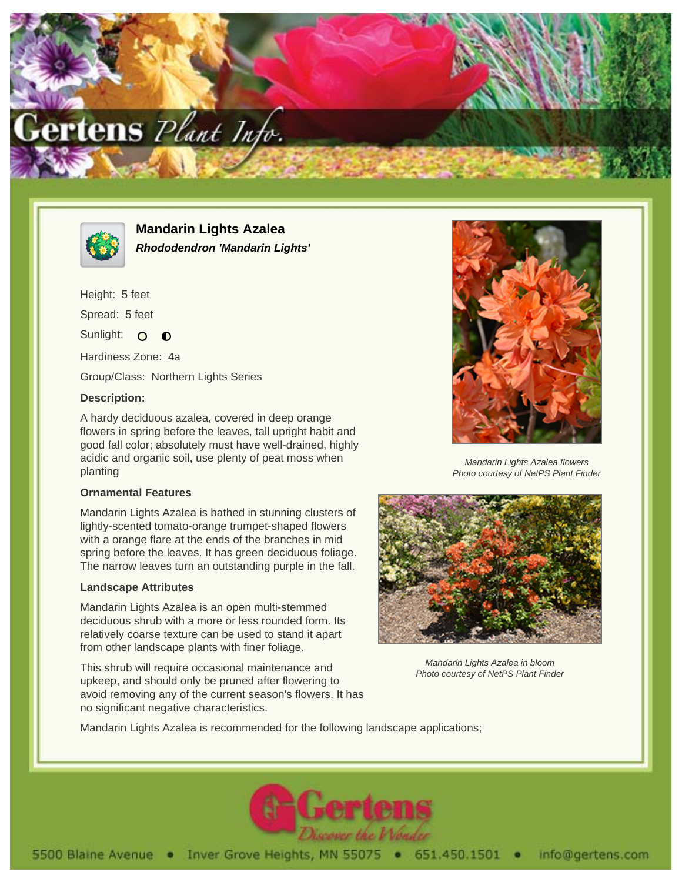



**Mandarin Lights Azalea Rhododendron 'Mandarin Lights'**

Height: 5 feet Spread: 5 feet Sunlight: O  $\bullet$ Hardiness Zone: 4a

Group/Class: Northern Lights Series

## **Description:**

A hardy deciduous azalea, covered in deep orange flowers in spring before the leaves, tall upright habit and good fall color; absolutely must have well-drained, highly acidic and organic soil, use plenty of peat moss when planting

#### **Ornamental Features**

Mandarin Lights Azalea is bathed in stunning clusters of lightly-scented tomato-orange trumpet-shaped flowers with a orange flare at the ends of the branches in mid spring before the leaves. It has green deciduous foliage. The narrow leaves turn an outstanding purple in the fall.

## **Landscape Attributes**

Mandarin Lights Azalea is an open multi-stemmed deciduous shrub with a more or less rounded form. Its relatively coarse texture can be used to stand it apart from other landscape plants with finer foliage.

This shrub will require occasional maintenance and upkeep, and should only be pruned after flowering to avoid removing any of the current season's flowers. It has no significant negative characteristics.



Mandarin Lights Azalea flowers Photo courtesy of NetPS Plant Finder



Mandarin Lights Azalea in bloom Photo courtesy of NetPS Plant Finder

Mandarin Lights Azalea is recommended for the following landscape applications;